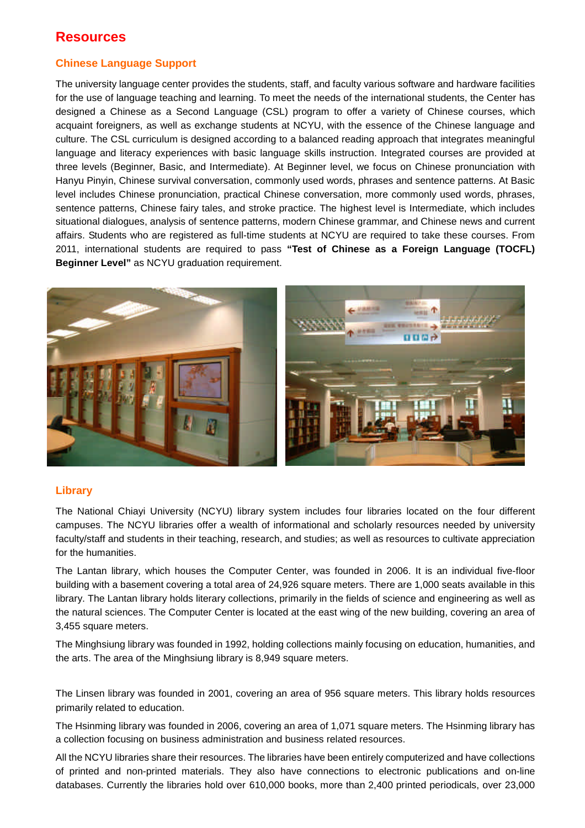## **Resources**

### **Chinese Language Support**

The university language center provides the students, staff, and faculty various software and hardware facilities for the use of language teaching and learning. To meet the needs of the international students, the Center has designed a Chinese as a Second Language (CSL) program to offer a variety of Chinese courses, which acquaint foreigners, as well as exchange students at NCYU, with the essence of the Chinese language and culture. The CSL curriculum is designed according to a balanced reading approach that integrates meaningful language and literacy experiences with basic language skills instruction. Integrated courses are provided at three levels (Beginner, Basic, and Intermediate). At Beginner level, we focus on Chinese pronunciation with Hanyu Pinyin, Chinese survival conversation, commonly used words, phrases and sentence patterns. At Basic level includes Chinese pronunciation, practical Chinese conversation, more commonly used words, phrases, sentence patterns, Chinese fairy tales, and stroke practice. The highest level is Intermediate, which includes situational dialogues, analysis of sentence patterns, modern Chinese grammar, and Chinese news and current affairs. Students who are registered as full-time students at NCYU are required to take these courses. From 2011, international students are required to pass **"Test of Chinese as a Foreign Language (TOCFL) Beginner Level"** as NCYU graduation requirement.



#### **Library**

The National Chiayi University (NCYU) library system includes four libraries located on the four different campuses. The NCYU libraries offer a wealth of informational and scholarly resources needed by university faculty/staff and students in their teaching, research, and studies; as well as resources to cultivate appreciation for the humanities.

The Lantan library, which houses the Computer Center, was founded in 2006. It is an individual five-floor building with a basement covering a total area of 24,926 square meters. There are 1,000 seats available in this library. The Lantan library holds literary collections, primarily in the fields of science and engineering as well as the natural sciences. The Computer Center is located at the east wing of the new building, covering an area of 3,455 square meters.

The Minghsiung library was founded in 1992, holding collections mainly focusing on education, humanities, and the arts. The area of the Minghsiung library is 8,949 square meters.

The Linsen library was founded in 2001, covering an area of 956 square meters. This library holds resources primarily related to education.

The Hsinming library was founded in 2006, covering an area of 1,071 square meters. The Hsinming library has a collection focusing on business administration and business related resources.

All the NCYU libraries share their resources. The libraries have been entirely computerized and have collections of printed and non-printed materials. They also have connections to electronic publications and on-line databases. Currently the libraries hold over 610,000 books, more than 2,400 printed periodicals, over 23,000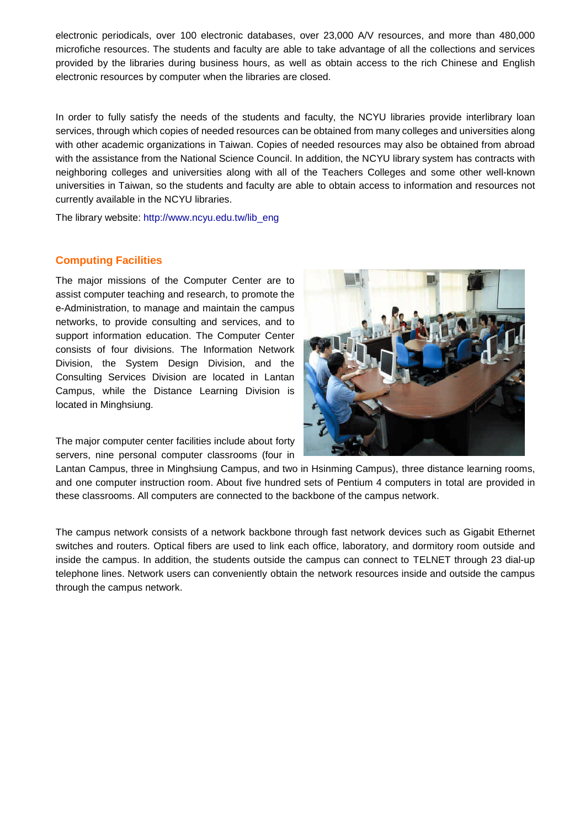electronic periodicals, over 100 electronic databases, over 23,000 A/V resources, and more than 480,000 microfiche resources. The students and faculty are able to take advantage of all the collections and services provided by the libraries during business hours, as well as obtain access to the rich Chinese and English electronic resources by computer when the libraries are closed.

In order to fully satisfy the needs of the students and faculty, the NCYU libraries provide interlibrary loan services, through which copies of needed resources can be obtained from many colleges and universities along with other academic organizations in Taiwan. Copies of needed resources may also be obtained from abroad with the assistance from the National Science Council. In addition, the NCYU library system has contracts with neighboring colleges and universities along with all of the Teachers Colleges and some other well-known universities in Taiwan, so the students and faculty are able to obtain access to information and resources not currently available in the NCYU libraries.

The library website: http://www.ncyu.edu.tw/lib\_eng

#### **Computing Facilities**

The major missions of the Computer Center are to assist computer teaching and research, to promote the e-Administration, to manage and maintain the campus networks, to provide consulting and services, and to support information education. The Computer Center consists of four divisions. The Information Network Division, the System Design Division, and the Consulting Services Division are located in Lantan Campus, while the Distance Learning Division is located in Minghsiung.

The major computer center facilities include about forty servers, nine personal computer classrooms (four in



Lantan Campus, three in Minghsiung Campus, and two in Hsinming Campus), three distance learning rooms, and one computer instruction room. About five hundred sets of Pentium 4 computers in total are provided in these classrooms. All computers are connected to the backbone of the campus network.

The campus network consists of a network backbone through fast network devices such as Gigabit Ethernet switches and routers. Optical fibers are used to link each office, laboratory, and dormitory room outside and inside the campus. In addition, the students outside the campus can connect to TELNET through 23 dial-up telephone lines. Network users can conveniently obtain the network resources inside and outside the campus through the campus network.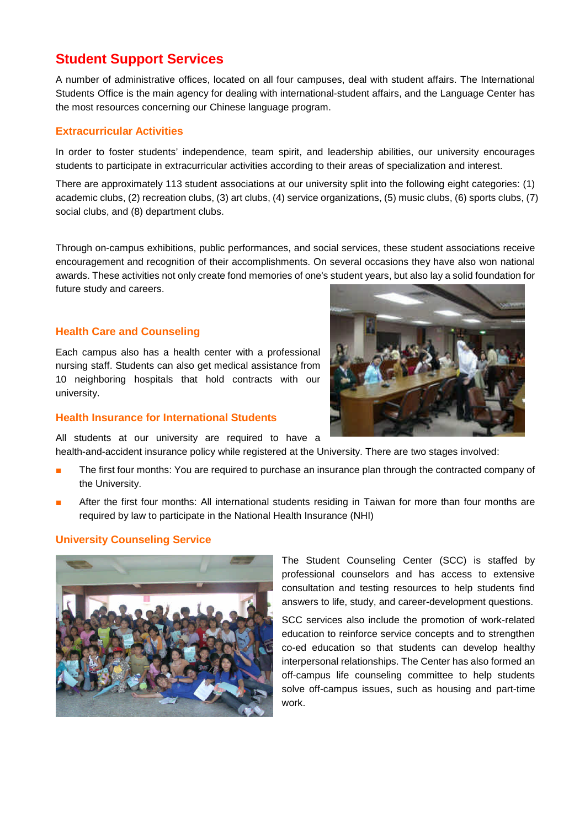# **Student Support Services**

A number of administrative offices, located on all four campuses, deal with student affairs. The International Students Office is the main agency for dealing with international-student affairs, and the Language Center has the most resources concerning our Chinese language program.

### **Extracurricular Activities**

In order to foster students' independence, team spirit, and leadership abilities, our university encourages students to participate in extracurricular activities according to their areas of specialization and interest.

There are approximately 113 student associations at our university split into the following eight categories: (1) academic clubs, (2) recreation clubs, (3) art clubs, (4) service organizations, (5) music clubs, (6) sports clubs, (7) social clubs, and (8) department clubs.

Through on-campus exhibitions, public performances, and social services, these student associations receive encouragement and recognition of their accomplishments. On several occasions they have also won national awards. These activities not only create fond memories of one's student years, but also lay a solid foundation for future study and careers.

#### **Health Care and Counseling**

Each campus also has a health center with a professional nursing staff. Students can also get medical assistance from 10 neighboring hospitals that hold contracts with our university.

#### **Health Insurance for International Students**

All students at our university are required to have a health-and-accident insurance policy while registered at the University. There are two stages involved:

- The first four months: You are required to purchase an insurance plan through the contracted company of the University.
- After the first four months: All international students residing in Taiwan for more than four months are required by law to participate in the National Health Insurance (NHI)

## **University Counseling Service**



The Student Counseling Center (SCC) is staffed by professional counselors and has access to extensive consultation and testing resources to help students find answers to life, study, and career-development questions.

SCC services also include the promotion of work-related education to reinforce service concepts and to strengthen co-ed education so that students can develop healthy interpersonal relationships. The Center has also formed an off-campus life counseling committee to help students solve off-campus issues, such as housing and part-time work.